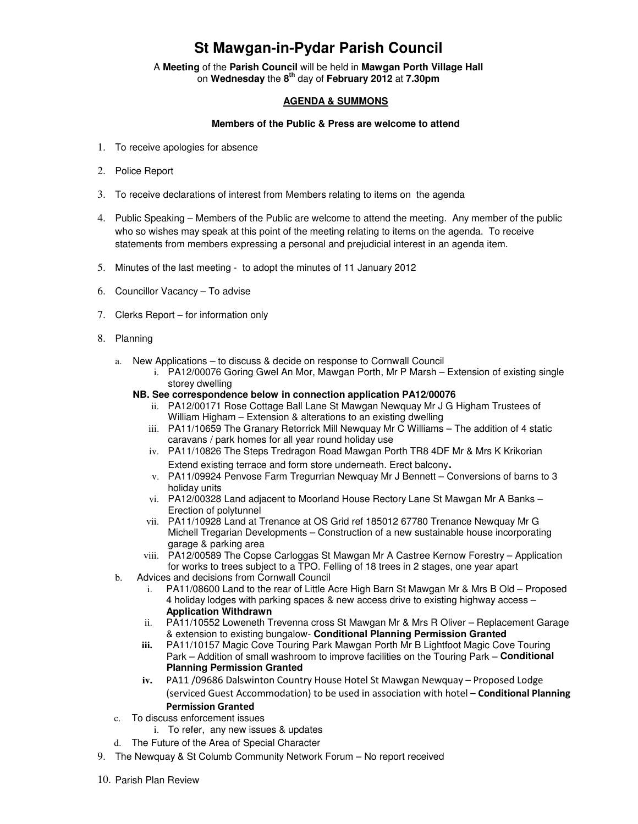## **St Mawgan-in-Pydar Parish Council**

A **Meeting** of the **Parish Council** will be held in **Mawgan Porth Village Hall** on **Wednesday** the **8th** day of **February 2012** at **7.30pm** 

## **AGENDA & SUMMONS**

## **Members of the Public & Press are welcome to attend**

- 1. To receive apologies for absence
- 2. Police Report
- 3. To receive declarations of interest from Members relating to items on the agenda
- 4. Public Speaking Members of the Public are welcome to attend the meeting. Any member of the public who so wishes may speak at this point of the meeting relating to items on the agenda. To receive statements from members expressing a personal and prejudicial interest in an agenda item.
- 5. Minutes of the last meeting to adopt the minutes of 11 January 2012
- 6. Councillor Vacancy To advise
- 7. Clerks Report for information only
- 8. Planning
	- a. New Applications to discuss & decide on response to Cornwall Council
		- i. PA12/00076 Goring Gwel An Mor, Mawgan Porth, Mr P Marsh Extension of existing single storey dwelling
		- **NB. See correspondence below in connection application PA12/00076** 
			- ii. PA12/00171 Rose Cottage Ball Lane St Mawgan Newquay Mr J G Higham Trustees of William Higham – Extension & alterations to an existing dwelling
			- iii. PA11/10659 The Granary Retorrick Mill Newquay Mr C Williams The addition of 4 static caravans / park homes for all year round holiday use
			- iv. PA11/10826 The Steps Tredragon Road Mawgan Porth TR8 4DF Mr & Mrs K Krikorian Extend existing terrace and form store underneath. Erect balcony.
			- v. PA11/09924 Penvose Farm Tregurrian Newquay Mr J Bennett Conversions of barns to 3 holiday units
			- vi. PA12/00328 Land adjacent to Moorland House Rectory Lane St Mawgan Mr A Banks Erection of polytunnel
			- vii. PA11/10928 Land at Trenance at OS Grid ref 185012 67780 Trenance Newquay Mr G Michell Tregarian Developments – Construction of a new sustainable house incorporating garage & parking area
			- viii. PA12/00589 The Copse Carloggas St Mawgan Mr A Castree Kernow Forestry Application for works to trees subject to a TPO. Felling of 18 trees in 2 stages, one year apart
	- b. Advices and decisions from Cornwall Council
		- i. PA11/08600 Land to the rear of Little Acre High Barn St Mawgan Mr & Mrs B Old Proposed 4 holiday lodges with parking spaces & new access drive to existing highway access – **Application Withdrawn**
		- ii. PA11/10552 Loweneth Trevenna cross St Mawgan Mr & Mrs R Oliver Replacement Garage & extension to existing bungalow- **Conditional Planning Permission Granted**
		- **iii.** PA11/10157 Magic Cove Touring Park Mawgan Porth Mr B Lightfoot Magic Cove Touring Park – Addition of small washroom to improve facilities on the Touring Park – **Conditional Planning Permission Granted**
		- **iv.** PA11 /09686 Dalswinton Country House Hotel St Mawgan Newquay Proposed Lodge (serviced Guest Accommodation) to be used in association with hotel – Conditional Planning Permission Granted
	- c. To discuss enforcement issues
		- i. To refer, any new issues & updates
	- d. The Future of the Area of Special Character
- 9. The Newquay & St Columb Community Network Forum No report received
- 10. Parish Plan Review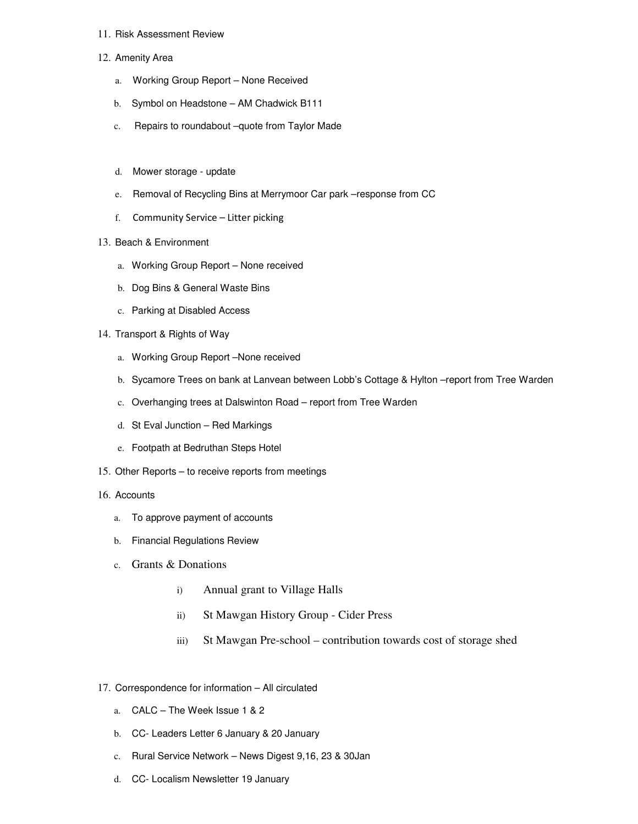## 11. Risk Assessment Review

- 12. Amenity Area
	- a. Working Group Report None Received
	- b. Symbol on Headstone AM Chadwick B111
	- c. Repairs to roundabout –quote from Taylor Made
	- d. Mower storage update
	- e. Removal of Recycling Bins at Merrymoor Car park –response from CC
	- f. Community Service Litter picking
- 13. Beach & Environment
	- a. Working Group Report None received
	- b. Dog Bins & General Waste Bins
	- c. Parking at Disabled Access
- 14. Transport & Rights of Way
	- a. Working Group Report –None received
	- b. Sycamore Trees on bank at Lanvean between Lobb's Cottage & Hylton –report from Tree Warden
	- c. Overhanging trees at Dalswinton Road report from Tree Warden
	- d. St Eval Junction Red Markings
	- e. Footpath at Bedruthan Steps Hotel
- 15. Other Reports to receive reports from meetings
- 16. Accounts
	- a. To approve payment of accounts
	- b. Financial Regulations Review
	- c. Grants & Donations
		- i) Annual grant to Village Halls
		- ii) St Mawgan History Group Cider Press
		- iii) St Mawgan Pre-school contribution towards cost of storage shed
- 17. Correspondence for information All circulated
	- a. CALC The Week Issue 1 & 2
	- b. CC- Leaders Letter 6 January & 20 January
	- c. Rural Service Network News Digest 9,16, 23 & 30Jan
	- d. CC- Localism Newsletter 19 January